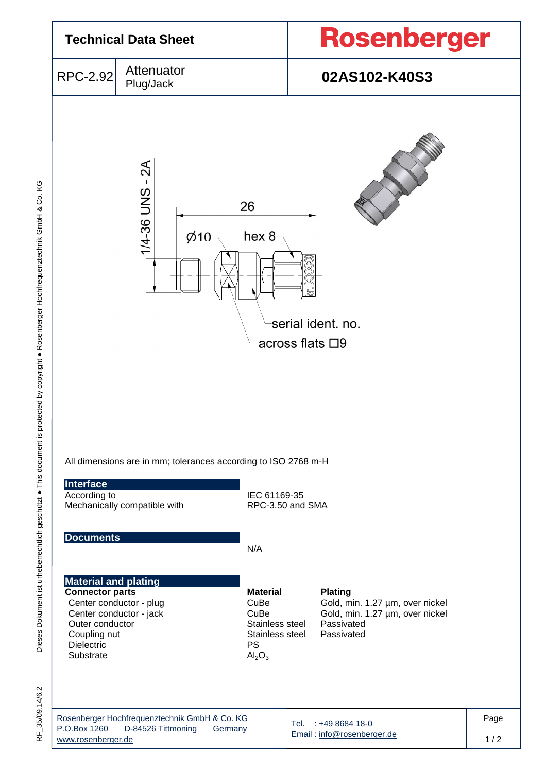

KG Dieses Dokument ist urheberrechtlich geschützt ● This document is protected by copyright ● Rosenberger Hochfrequenztechnik GmbH & Co. KG Dieses Dokument ist urheberrechtlich geschützt . This document is protected by copyright . Rosenberger Hochfrequenztechnik GmbH & Co.

35/09.14/6.2 RF\_35/09.14/6.2 눈